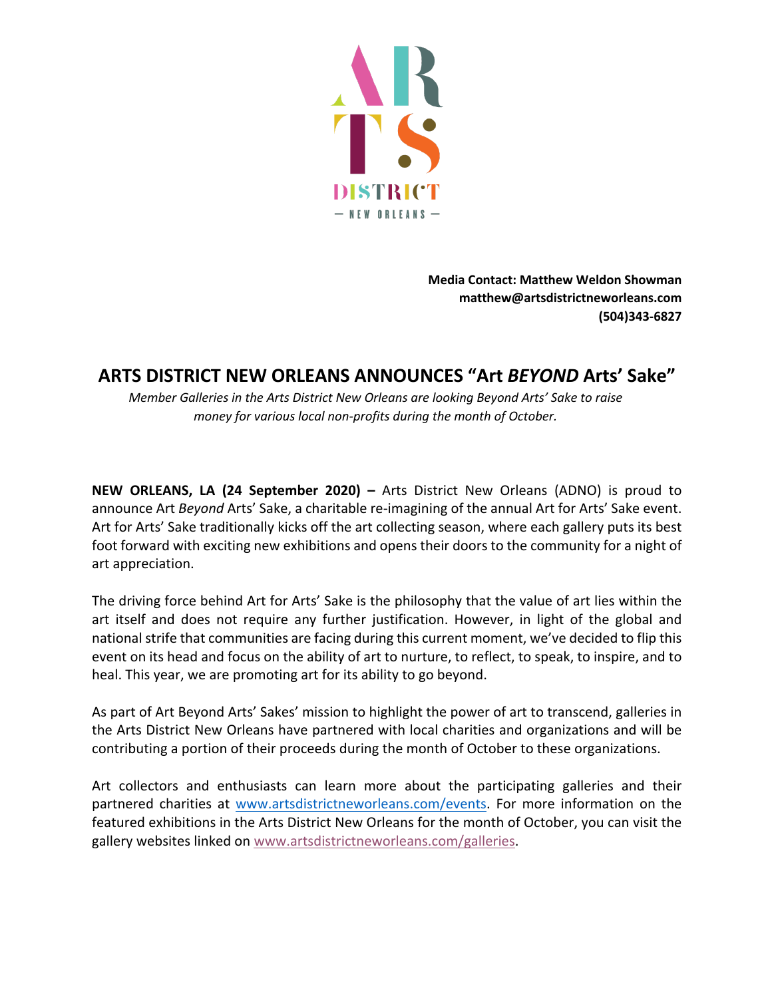

**Media Contact: Matthew Weldon Showman matthew@artsdistrictneworleans.com (504)343-6827** 

## **ARTS DISTRICT NEW ORLEANS ANNOUNCES "Art** *BEYOND* **Arts' Sake"**

*Member Galleries in the Arts District New Orleans are looking Beyond Arts' Sake to raise money for various local non-profits during the month of October.*

**NEW ORLEANS, LA (24 September 2020) –** Arts District New Orleans (ADNO) is proud to announce Art *Beyond* Arts' Sake, a charitable re-imagining of the annual Art for Arts' Sake event. Art for Arts' Sake traditionally kicks off the art collecting season, where each gallery puts its best foot forward with exciting new exhibitions and opens their doors to the community for a night of art appreciation.

The driving force behind Art for Arts' Sake is the philosophy that the value of art lies within the art itself and does not require any further justification. However, in light of the global and national strife that communities are facing during this current moment, we've decided to flip this event on its head and focus on the ability of art to nurture, to reflect, to speak, to inspire, and to heal. This year, we are promoting art for its ability to go beyond.

As part of Art Beyond Arts' Sakes' mission to highlight the power of art to transcend, galleries in the Arts District New Orleans have partnered with local charities and organizations and will be contributing a portion of their proceeds during the month of October to these organizations.

Art collectors and enthusiasts can learn more about the participating galleries and their partnered charities at www.artsdistrictneworleans.com/events. For more information on the featured exhibitions in the Arts District New Orleans for the month of October, you can visit the gallery websites linked on www.artsdistrictneworleans.com/galleries.